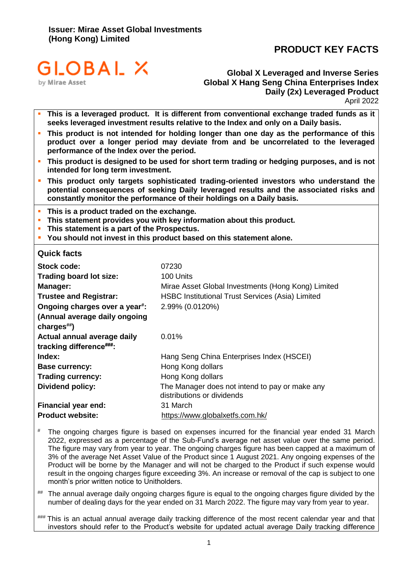# **PRODUCT KEY FACTS**



**Global X Leveraged and Inverse Series Global X Hang Seng China Enterprises Index Daily (2x) Leveraged Product** April 2022

- This is a leveraged product. It is different from conventional exchange traded funds as it **seeks leveraged investment results relative to the Index and only on a Daily basis.**
- This product is not intended for holding longer than one day as the performance of this **product over a longer period may deviate from and be uncorrelated to the leveraged performance of the Index over the period.**
- This product is designed to be used for short term trading or hedging purposes, and is not **intended for long term investment.**
- This product only targets sophisticated trading-oriented investors who understand the **potential consequences of seeking Daily leveraged results and the associated risks and constantly monitor the performance of their holdings on a Daily basis.**
- **This is a product traded on the exchange.**
- **This statement provides you with key information about this product.**
- **This statement is a part of the Prospectus.**
- **You should not invest in this product based on this statement alone.**

#### **Quick facts**

| Stock code:                                           | 07230                                                                        |
|-------------------------------------------------------|------------------------------------------------------------------------------|
| <b>Trading board lot size:</b>                        | 100 Units                                                                    |
| Manager:                                              | Mirae Asset Global Investments (Hong Kong) Limited                           |
| <b>Trustee and Registrar:</b>                         | <b>HSBC Institutional Trust Services (Asia) Limited</b>                      |
| Ongoing charges over a year <sup>#</sup> :            | 2.99% (0.0120%)                                                              |
| (Annual average daily ongoing                         |                                                                              |
| charges $\stackrel{\text{\tiny{#}}}{\text{\tiny{#}}}$ |                                                                              |
| Actual annual average daily                           | $0.01\%$                                                                     |
| tracking difference###:                               |                                                                              |
| Index:                                                | Hang Seng China Enterprises Index (HSCEI)                                    |
| <b>Base currency:</b>                                 | Hong Kong dollars                                                            |
| <b>Trading currency:</b>                              | Hong Kong dollars                                                            |
| Dividend policy:                                      | The Manager does not intend to pay or make any<br>distributions or dividends |
| <b>Financial year end:</b>                            | 31 March                                                                     |
| <b>Product website:</b>                               | https://www.globalxetfs.com.hk/                                              |

# The ongoing charges figure is based on expenses incurred for the financial year ended 31 March 2022, expressed as a percentage of the Sub-Fund's average net asset value over the same period. The figure may vary from year to year. The ongoing charges figure has been capped at a maximum of 3% of the average Net Asset Value of the Product since 1 August 2021. Any ongoing expenses of the Product will be borne by the Manager and will not be charged to the Product if such expense would result in the ongoing charges figure exceeding 3%. An increase or removal of the cap is subject to one month's prior written notice to Unitholders.

The annual average daily ongoing charges figure is equal to the ongoing charges figure divided by the number of dealing days for the year ended on 31 March 2022. The figure may vary from year to year.

### This is an actual annual average daily tracking difference of the most recent calendar year and that investors should refer to the Product's website for updated actual average Daily tracking difference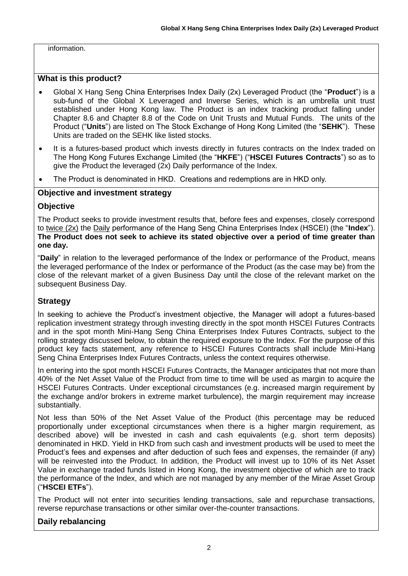information.

### **What is this product?**

- Global X Hang Seng China Enterprises Index Daily (2x) Leveraged Product (the "**Product**") is a sub-fund of the Global X Leveraged and Inverse Series, which is an umbrella unit trust established under Hong Kong law. The Product is an index tracking product falling under Chapter 8.6 and Chapter 8.8 of the Code on Unit Trusts and Mutual Funds. The units of the Product ("**Units**") are listed on The Stock Exchange of Hong Kong Limited (the "**SEHK**"). These Units are traded on the SEHK like listed stocks.
- It is a futures-based product which invests directly in futures contracts on the Index traded on The Hong Kong Futures Exchange Limited (the "**HKFE**") ("**HSCEI Futures Contracts**") so as to give the Product the leveraged (2x) Daily performance of the Index.
- The Product is denominated in HKD. Creations and redemptions are in HKD only.

### **Objective and investment strategy**

#### **Objective**

The Product seeks to provide investment results that, before fees and expenses, closely correspond to twice (2x) the Daily performance of the Hang Seng China Enterprises Index (HSCEI) (the "**Index**"). **The Product does not seek to achieve its stated objective over a period of time greater than one day.**

"**Daily**" in relation to the leveraged performance of the Index or performance of the Product, means the leveraged performance of the Index or performance of the Product (as the case may be) from the close of the relevant market of a given Business Day until the close of the relevant market on the subsequent Business Day.

### **Strategy**

In seeking to achieve the Product's investment objective, the Manager will adopt a futures-based replication investment strategy through investing directly in the spot month HSCEI Futures Contracts and in the spot month Mini-Hang Seng China Enterprises Index Futures Contracts, subject to the rolling strategy discussed below, to obtain the required exposure to the Index. For the purpose of this product key facts statement, any reference to HSCEI Futures Contracts shall include Mini-Hang Seng China Enterprises Index Futures Contracts, unless the context requires otherwise.

In entering into the spot month HSCEI Futures Contracts, the Manager anticipates that not more than 40% of the Net Asset Value of the Product from time to time will be used as margin to acquire the HSCEI Futures Contracts. Under exceptional circumstances (e.g. increased margin requirement by the exchange and/or brokers in extreme market turbulence), the margin requirement may increase substantially.

Not less than 50% of the Net Asset Value of the Product (this percentage may be reduced proportionally under exceptional circumstances when there is a higher margin requirement, as described above) will be invested in cash and cash equivalents (e.g. short term deposits) denominated in HKD. Yield in HKD from such cash and investment products will be used to meet the Product's fees and expenses and after deduction of such fees and expenses, the remainder (if any) will be reinvested into the Product. In addition, the Product will invest up to 10% of its Net Asset Value in exchange traded funds listed in Hong Kong, the investment objective of which are to track the performance of the Index, and which are not managed by any member of the Mirae Asset Group ("**HSCEI ETFs**").

The Product will not enter into securities lending transactions, sale and repurchase transactions, reverse repurchase transactions or other similar over-the-counter transactions.

### **Daily rebalancing**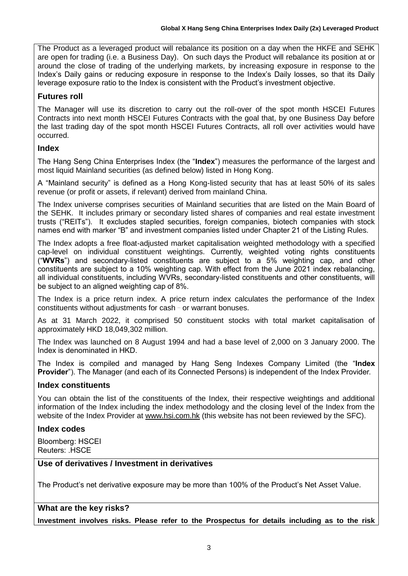The Product as a leveraged product will rebalance its position on a day when the HKFE and SEHK are open for trading (i.e. a Business Day). On such days the Product will rebalance its position at or around the close of trading of the underlying markets, by increasing exposure in response to the Index's Daily gains or reducing exposure in response to the Index's Daily losses, so that its Daily leverage exposure ratio to the Index is consistent with the Product's investment objective.

# **Futures roll**

The Manager will use its discretion to carry out the roll-over of the spot month HSCEI Futures Contracts into next month HSCEI Futures Contracts with the goal that, by one Business Day before the last trading day of the spot month HSCEI Futures Contracts, all roll over activities would have occurred.

# **Index**

The Hang Seng China Enterprises Index (the "**Index**") measures the performance of the largest and most liquid Mainland securities (as defined below) listed in Hong Kong.

A "Mainland security" is defined as a Hong Kong-listed security that has at least 50% of its sales revenue (or profit or assets, if relevant) derived from mainland China.

The Index universe comprises securities of Mainland securities that are listed on the Main Board of the SEHK. It includes primary or secondary listed shares of companies and real estate investment trusts ("REITs"). It excludes stapled securities, foreign companies, biotech companies with stock names end with marker "B" and investment companies listed under Chapter 21 of the Listing Rules.

The Index adopts a free float-adjusted market capitalisation weighted methodology with a specified cap-level on individual constituent weightings. Currently, weighted voting rights constituents ("**WVRs**") and secondary-listed constituents are subject to a 5% weighting cap, and other constituents are subject to a 10% weighting cap. With effect from the June 2021 index rebalancing, all individual constituents, including WVRs, secondary-listed constituents and other constituents, will be subject to an aligned weighting cap of 8%.

The Index is a price return index. A price return index calculates the performance of the Index constituents without adjustments for cash  $-$  or warrant bonuses.

As at 31 March 2022, it comprised 50 constituent stocks with total market capitalisation of approximately HKD 18,049,302 million.

The Index was launched on 8 August 1994 and had a base level of 2,000 on 3 January 2000. The Index is denominated in HKD.

The Index is compiled and managed by Hang Seng Indexes Company Limited (the "**Index Provider**"). The Manager (and each of its Connected Persons) is independent of the Index Provider.

### **Index constituents**

You can obtain the list of the constituents of the Index, their respective weightings and additional information of the Index including the index methodology and the closing level of the Index from the website of the Index Provider at [www.hsi.com.hk](http://www.hsi.com.hk/) (this website has not been reviewed by the SFC).

### **Index codes**

Bloomberg: HSCEI Reuters: .HSCE

### **Use of derivatives / Investment in derivatives**

The Product's net derivative exposure may be more than 100% of the Product's Net Asset Value.

### **What are the key risks?**

**Investment involves risks. Please refer to the Prospectus for details including as to the risk**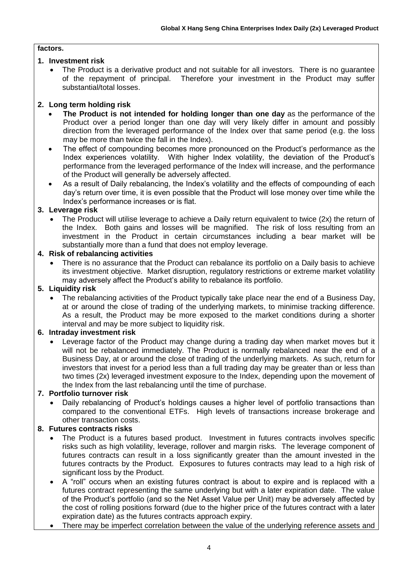#### **factors.**

### **1. Investment risk**

• The Product is a derivative product and not suitable for all investors. There is no guarantee of the repayment of principal. Therefore your investment in the Product may suffer Therefore your investment in the Product may suffer substantial/total losses.

### **2. Long term holding risk**

- **The Product is not intended for holding longer than one day** as the performance of the Product over a period longer than one day will very likely differ in amount and possibly direction from the leveraged performance of the Index over that same period (e.g. the loss may be more than twice the fall in the Index).
- The effect of compounding becomes more pronounced on the Product's performance as the Index experiences volatility. With higher Index volatility, the deviation of the Product's performance from the leveraged performance of the Index will increase, and the performance of the Product will generally be adversely affected.
- As a result of Daily rebalancing, the Index's volatility and the effects of compounding of each day's return over time, it is even possible that the Product will lose money over time while the Index's performance increases or is flat.

#### **3. Leverage risk**

• The Product will utilise leverage to achieve a Daily return equivalent to twice (2x) the return of the Index. Both gains and losses will be magnified. The risk of loss resulting from an investment in the Product in certain circumstances including a bear market will be substantially more than a fund that does not employ leverage.

#### **4. Risk of rebalancing activities**

• There is no assurance that the Product can rebalance its portfolio on a Daily basis to achieve its investment objective. Market disruption, regulatory restrictions or extreme market volatility may adversely affect the Product's ability to rebalance its portfolio.

### **5. Liquidity risk**

• The rebalancing activities of the Product typically take place near the end of a Business Day, at or around the close of trading of the underlying markets, to minimise tracking difference. As a result, the Product may be more exposed to the market conditions during a shorter interval and may be more subject to liquidity risk.

#### **6. Intraday investment risk**

• Leverage factor of the Product may change during a trading day when market moves but it will not be rebalanced immediately. The Product is normally rebalanced near the end of a Business Day, at or around the close of trading of the underlying markets. As such, return for investors that invest for a period less than a full trading day may be greater than or less than two times (2x) leveraged investment exposure to the Index, depending upon the movement of the Index from the last rebalancing until the time of purchase.

### **7. Portfolio turnover risk**

• Daily rebalancing of Product's holdings causes a higher level of portfolio transactions than compared to the conventional ETFs. High levels of transactions increase brokerage and other transaction costs.

### **8. Futures contracts risks**

- The Product is a futures based product. Investment in futures contracts involves specific risks such as high volatility, leverage, rollover and margin risks. The leverage component of futures contracts can result in a loss significantly greater than the amount invested in the futures contracts by the Product. Exposures to futures contracts may lead to a high risk of significant loss by the Product.
- A "roll" occurs when an existing futures contract is about to expire and is replaced with a futures contract representing the same underlying but with a later expiration date. The value of the Product's portfolio (and so the Net Asset Value per Unit) may be adversely affected by the cost of rolling positions forward (due to the higher price of the futures contract with a later expiration date) as the futures contracts approach expiry.
- There may be imperfect correlation between the value of the underlying reference assets and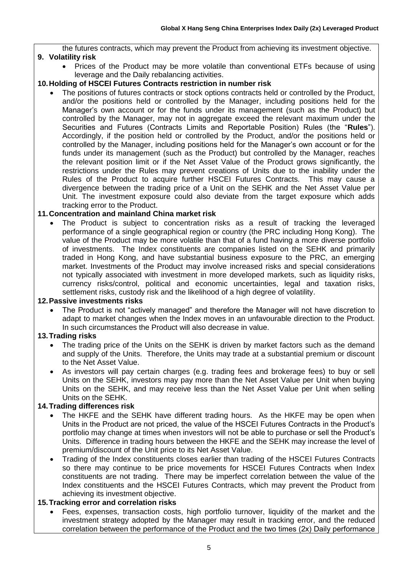the futures contracts, which may prevent the Product from achieving its investment objective. **9. Volatility risk**

• Prices of the Product may be more volatile than conventional ETFs because of using leverage and the Daily rebalancing activities.

#### **10.Holding of HSCEI Futures Contracts restriction in number risk**

The positions of futures contracts or stock options contracts held or controlled by the Product, and/or the positions held or controlled by the Manager, including positions held for the Manager's own account or for the funds under its management (such as the Product) but controlled by the Manager, may not in aggregate exceed the relevant maximum under the Securities and Futures (Contracts Limits and Reportable Position) Rules (the "**Rules**"). Accordingly, if the position held or controlled by the Product, and/or the positions held or controlled by the Manager, including positions held for the Manager's own account or for the funds under its management (such as the Product) but controlled by the Manager, reaches the relevant position limit or if the Net Asset Value of the Product grows significantly, the restrictions under the Rules may prevent creations of Units due to the inability under the Rules of the Product to acquire further HSCEI Futures Contracts. This may cause a divergence between the trading price of a Unit on the SEHK and the Net Asset Value per Unit. The investment exposure could also deviate from the target exposure which adds tracking error to the Product.

#### **11.Concentration and mainland China market risk**

The Product is subject to concentration risks as a result of tracking the leveraged performance of a single geographical region or country (the PRC including Hong Kong). The value of the Product may be more volatile than that of a fund having a more diverse portfolio of investments. The Index constituents are companies listed on the SEHK and primarily traded in Hong Kong, and have substantial business exposure to the PRC, an emerging market. Investments of the Product may involve increased risks and special considerations not typically associated with investment in more developed markets, such as liquidity risks, currency risks/control, political and economic uncertainties, legal and taxation risks, settlement risks, custody risk and the likelihood of a high degree of volatility.

#### **12.Passive investments risks**

• The Product is not "actively managed" and therefore the Manager will not have discretion to adapt to market changes when the Index moves in an unfavourable direction to the Product. In such circumstances the Product will also decrease in value.

#### **13.Trading risks**

- The trading price of the Units on the SEHK is driven by market factors such as the demand and supply of the Units. Therefore, the Units may trade at a substantial premium or discount to the Net Asset Value.
- As investors will pay certain charges (e.g. trading fees and brokerage fees) to buy or sell Units on the SEHK, investors may pay more than the Net Asset Value per Unit when buying Units on the SEHK, and may receive less than the Net Asset Value per Unit when selling Units on the SEHK.

#### **14.Trading differences risk**

- The HKFE and the SEHK have different trading hours. As the HKFE may be open when Units in the Product are not priced, the value of the HSCEI Futures Contracts in the Product's portfolio may change at times when investors will not be able to purchase or sell the Product's Units. Difference in trading hours between the HKFE and the SEHK may increase the level of premium/discount of the Unit price to its Net Asset Value.
- Trading of the Index constituents closes earlier than trading of the HSCEI Futures Contracts so there may continue to be price movements for HSCEI Futures Contracts when Index constituents are not trading. There may be imperfect correlation between the value of the Index constituents and the HSCEI Futures Contracts, which may prevent the Product from achieving its investment objective.

#### **15.Tracking error and correlation risks**

• Fees, expenses, transaction costs, high portfolio turnover, liquidity of the market and the investment strategy adopted by the Manager may result in tracking error, and the reduced correlation between the performance of the Product and the two times (2x) Daily performance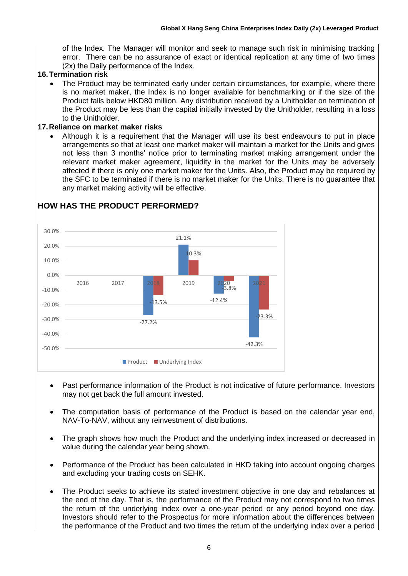of the Index. The Manager will monitor and seek to manage such risk in minimising tracking error. There can be no assurance of exact or identical replication at any time of two times (2x) the Daily performance of the Index.

#### **16.Termination risk**

• The Product may be terminated early under certain circumstances, for example, where there is no market maker, the Index is no longer available for benchmarking or if the size of the Product falls below HKD80 million. Any distribution received by a Unitholder on termination of the Product may be less than the capital initially invested by the Unitholder, resulting in a loss to the Unitholder.

#### **17.Reliance on market maker risks**

• Although it is a requirement that the Manager will use its best endeavours to put in place arrangements so that at least one market maker will maintain a market for the Units and gives not less than 3 months' notice prior to terminating market making arrangement under the relevant market maker agreement, liquidity in the market for the Units may be adversely affected if there is only one market maker for the Units. Also, the Product may be required by the SFC to be terminated if there is no market maker for the Units. There is no guarantee that any market making activity will be effective.



- Past performance information of the Product is not indicative of future performance. Investors may not get back the full amount invested.
- The computation basis of performance of the Product is based on the calendar year end, NAV-To-NAV, without any reinvestment of distributions.
- The graph shows how much the Product and the underlying index increased or decreased in value during the calendar year being shown.
- Performance of the Product has been calculated in HKD taking into account ongoing charges and excluding your trading costs on SEHK.
- The Product seeks to achieve its stated investment objective in one day and rebalances at the end of the day. That is, the performance of the Product may not correspond to two times the return of the underlying index over a one-year period or any period beyond one day. Investors should refer to the Prospectus for more information about the differences between the performance of the Product and two times the return of the underlying index over a period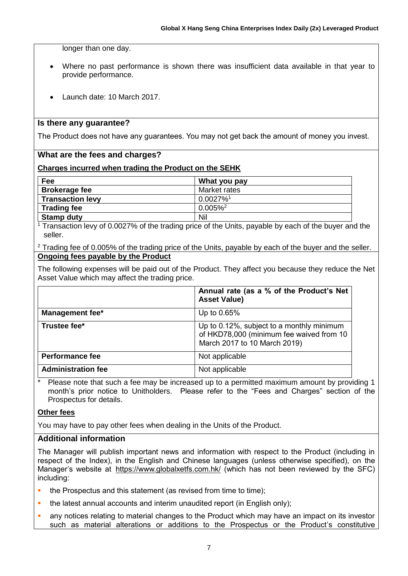longer than one day.

- Where no past performance is shown there was insufficient data available in that year to provide performance.
- Launch date: 10 March 2017.

### **Is there any guarantee?**

The Product does not have any guarantees. You may not get back the amount of money you invest.

#### **What are the fees and charges?**

#### **Charges incurred when trading the Product on the SEHK**

| Fee                     | What you pay            |
|-------------------------|-------------------------|
| <b>Brokerage fee</b>    | Market rates            |
| <b>Transaction levy</b> | $0.0027\%$ <sup>1</sup> |
| <b>Trading fee</b>      | $0.005\%$ <sup>2</sup>  |
| <b>Stamp duty</b>       | Nil                     |

<sup>1</sup> Transaction levy of 0.0027% of the trading price of the Units, payable by each of the buyer and the seller.

 $2$  Trading fee of 0.005% of the trading price of the Units, payable by each of the buyer and the seller. **Ongoing fees payable by the Product**

The following expenses will be paid out of the Product. They affect you because they reduce the Net Asset Value which may affect the trading price.

|                           | Annual rate (as a % of the Product's Net<br><b>Asset Value)</b>                                                       |
|---------------------------|-----------------------------------------------------------------------------------------------------------------------|
| <b>Management fee*</b>    | Up to 0.65%                                                                                                           |
| Trustee fee*              | Up to 0.12%, subject to a monthly minimum<br>of HKD78,000 (minimum fee waived from 10<br>March 2017 to 10 March 2019) |
| <b>Performance fee</b>    | Not applicable                                                                                                        |
| <b>Administration fee</b> | Not applicable                                                                                                        |

Please note that such a fee may be increased up to a permitted maximum amount by providing 1 month's prior notice to Unitholders. Please refer to the "Fees and Charges" section of the Prospectus for details.

#### **Other fees**

You may have to pay other fees when dealing in the Units of the Product.

#### **Additional information**

The Manager will publish important news and information with respect to the Product (including in respect of the Index), in the English and Chinese languages (unless otherwise specified), on the Manager's website at https://www.globalxetfs.com.hk/ (which has not been reviewed by the SFC) including:

- the Prospectus and this statement (as revised from time to time);
- the latest annual accounts and interim unaudited report (in English only);
- any notices relating to material changes to the Product which may have an impact on its investor such as material alterations or additions to the Prospectus or the Product's constitutive